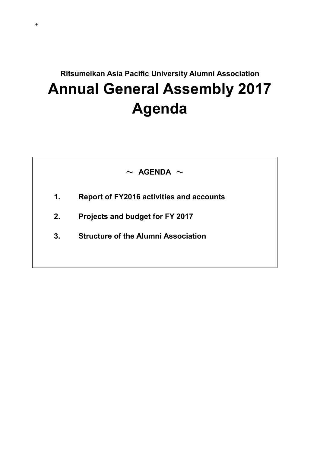# **Ritsumeikan Asia Pacific University Alumni Association Annual General Assembly 2017 Agenda**



- **1. Report of FY2016 activities and accounts**
- **2. Projects and budget for FY 2017**

+

**3. Structure of the Alumni Association**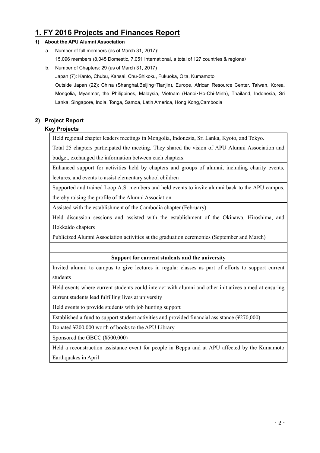# **1. FY 2016 Projects and Finances Report**

#### **1) About the APU Alumni Association**

- a. Number of full members (as of March 31, 2017): 15,096 members (8,045 Domestic, 7,051 International, a total of 127 countries & regions)
- b. Number of Chapters: 29 (as of March 31, 2017)

Japan (7): Kanto, Chubu, Kansai, Chu-Shikoku, Fukuoka, Oita, Kumamoto

Outside Japan (22): China (Shanghai,Beijing・Tianjin), Europe, African Resource Center, Taiwan, Korea, Mongolia, Myanmar, the Philippines, Malaysia, Vietnam (Hanoi・Ho-Chi-Minh), Thailand, Indonesia, Sri Lanka, Singapore, India, Tonga, Samoa, Latin America, Hong Kong,Cambodia

#### **2) Project Report**

#### **Key Projects**

Held regional chapter leaders meetings in Mongolia, Indonesia, Sri Lanka, Kyoto, and Tokyo.

Total 25 chapters participated the meeting. They shared the vision of APU Alumni Association and budget, exchanged the information between each chapters.

Enhanced support for activities held by chapters and groups of alumni, including charity events, lectures, and events to assist elementary school children

Supported and trained Loop A.S. members and held events to invite alumni back to the APU campus, thereby raising the profile of the Alumni Association

Assisted with the establishment of the Cambodia chapter (February)

Held discussion sessions and assisted with the establishment of the Okinawa, Hiroshima, and Hokkaido chapters

Publicized Alumni Association activities at the graduation ceremonies (September and March)

#### **Support for current students and the university**

Invited alumni to campus to give lectures in regular classes as part of efforts to support current students

Held events where current students could interact with alumni and other initiatives aimed at ensuring

current students lead fulfilling lives at university

Held events to provide students with job hunting support

Established a fund to support student activities and provided financial assistance (¥270,000)

Donated ¥200,000 worth of books to the APU Library

Sponsored the GBCC (¥500,000)

Held a reconstruction assistance event for people in Beppu and at APU affected by the Kumamoto Earthquakes in April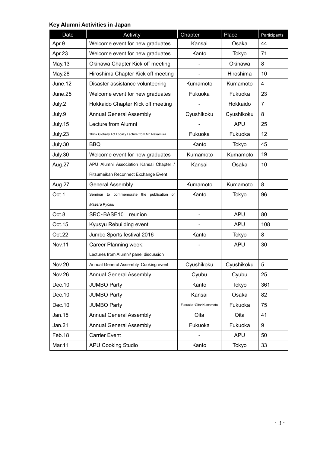# **Key Alumni Activities in Japan**

| Date          | Activity                                             | Chapter               | Place      | Participants   |
|---------------|------------------------------------------------------|-----------------------|------------|----------------|
| Apr.9         | Welcome event for new graduates                      | Kansai                | Osaka      | 44             |
| Apr.23        | Welcome event for new graduates                      | Kanto                 | Tokyo      | 71             |
| May.13        | Okinawa Chapter Kick off meeting                     |                       | Okinawa    | 8              |
| May.28        | Hiroshima Chapter Kick off meeting                   |                       | Hiroshima  | 10             |
| June.12       | Disaster assistance volunteering                     | Kumamoto              | Kumamoto   | $\overline{4}$ |
| June.25       | Welcome event for new graduates                      | Fukuoka               | Fukuoka    | 23             |
| July.2        | Hokkaido Chapter Kick off meeting                    |                       | Hokkaido   | $\overline{7}$ |
| July.9        | <b>Annual General Assembly</b>                       | Cyushikoku            | Cyushikoku | 8              |
| July.15       | Lecture from Alumni                                  |                       | <b>APU</b> | 25             |
| July.23       | Think Globally Act Locally Lecture from Mr. Nakamura | Fukuoka               | Fukuoka    | 12             |
| July.30       | <b>BBQ</b>                                           | Kanto                 | Tokyo      | 45             |
| July.30       | Welcome event for new graduates                      | Kumamoto              | Kumamoto   | 19             |
| Aug.27        | APU Alumni Association Kansai Chapter /              | Kansai                | Osaka      | 10             |
|               | Ritsumeikan Reconnect Exchange Event                 |                       |            |                |
| Aug.27        | <b>General Assembly</b>                              | Kumamoto              | Kumamoto   | 8              |
| Oct.1         | Seminar to commemorate the publication of            | Kanto                 | Tokyo      | 96             |
|               | Mazeru Kyoiku                                        |                       |            |                |
| Oct.8         | SRC·BASE10 reunion                                   |                       | <b>APU</b> | 80             |
| Oct.15        | Kyusyu Rebuilding event                              |                       | <b>APU</b> | 108            |
| Oct.22        | Jumbo Sports festival 2016                           | Kanto                 | Tokyo      | 8              |
| <b>Nov.11</b> | Career Planning week:                                |                       | <b>APU</b> | 30             |
|               | Lectures from Alumni/ panel discussion               |                       |            |                |
| <b>Nov.20</b> | Annual General Assembly, Cooking event               | Cyushikoku            | Cyushikoku | 5              |
| <b>Nov.26</b> | <b>Annual General Assembly</b>                       | Cyubu                 | Cyubu      | 25             |
| Dec. 10       | <b>JUMBO Party</b>                                   | Kanto                 | Tokyo      | 361            |
| Dec. 10       | <b>JUMBO Party</b>                                   | Kansai                | Osaka      | 82             |
| Dec. 10       | <b>JUMBO Party</b>                                   | Fukuoka Oita Kumamoto | Fukuoka    | 75             |
| Jan.15        | <b>Annual General Assembly</b>                       | Oita                  | Oita       | 41             |
| Jan.21        | <b>Annual General Assembly</b>                       | Fukuoka               | Fukuoka    | 9              |
| Feb.18        | <b>Carrier Event</b>                                 |                       | <b>APU</b> | 50             |
| Mar.11        | <b>APU Cooking Studio</b>                            | Kanto                 | Tokyo      | 33             |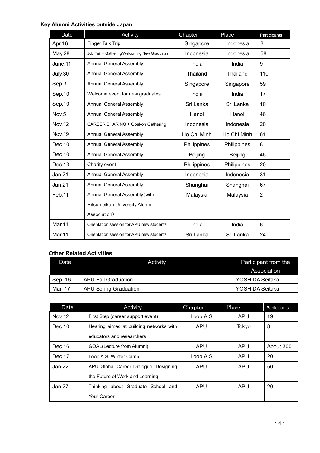### **Key Alumni Activities outside Japan**

| Date          | Activity                                     | Chapter        | Place          | Participants   |
|---------------|----------------------------------------------|----------------|----------------|----------------|
| Apr. 16       | Finger Talk Trip                             | Singapore      | Indonesia      | 8              |
| May.28        | Job Fair + Gathering/Welcoming New Graduates | Indonesia      | Indonesia      | 68             |
| June.11       | <b>Annual General Assembly</b>               | India          | India          | 9              |
| July.30       | Annual General Assembly                      | Thailand       | Thailand       | 110            |
| Sep.3         | Annual General Assembly                      | Singapore      | Singapore      | 59             |
| Sep.10        | Welcome event for new graduates              | India          | India          | 17             |
| Sep.10        | Annual General Assembly                      | Sri Lanka      | Sri Lanka      | 10             |
| Nov.5         | Annual General Assembly                      | Hanoi          | Hanoi          | 46             |
| <b>Nov.12</b> | <b>CAREER SHARING + Goukon Gathering</b>     | Indonesia      | Indonesia      | 20             |
| <b>Nov.19</b> | Annual General Assembly                      | Ho Chi Minh    | Ho Chi Minh    | 61             |
| Dec.10        | Annual General Assembly                      | Philippines    | Philippines    | 8              |
| Dec.10        | <b>Annual General Assembly</b>               | <b>Beijing</b> | <b>Beijing</b> | 46             |
| Dec.13        | Charity event                                | Philippines    | Philippines    | 20             |
| Jan.21        | Annual General Assembly                      | Indonesia      | Indonesia      | 31             |
| Jan.21        | <b>Annual General Assembly</b>               | Shanghai       | Shanghai       | 67             |
| Feb.11        | Annual General Assembly (with                | Malaysia       | Malaysia       | $\overline{2}$ |
|               | Ritsumeikan University Alumni                |                |                |                |
|               | Association)                                 |                |                |                |
| <b>Mar.11</b> | Orientation session for APU new students     | India          | India          | 6              |
| <b>Mar.11</b> | Orientation session for APU new students     | Sri Lanka      | Sri Lanka      | 24             |

#### **Other Related Activities**

| Date    | Activity                     | Participant from the |
|---------|------------------------------|----------------------|
|         |                              | Association          |
| Sep. 16 | APU Fall Graduation          | YOSHIDA Seitaka      |
| Mar. 17 | <b>APU Spring Graduation</b> | YOSHIDA Seitaka      |

| Date    | Activity                                | Chapter    | Place      | Participants |
|---------|-----------------------------------------|------------|------------|--------------|
| Nov. 12 | First Step (career support event)       | Loop.A.S   | <b>APU</b> | 19           |
| Dec.10  | Hearing aimed at building networks with | <b>APU</b> | Tokyo      | 8            |
|         | educators and researchers               |            |            |              |
| Dec.16  | GOAL(Lecture from Alumni)               | <b>APU</b> | <b>APU</b> | About 300    |
| Dec.17  | Loop A.S. Winter Camp                   | Loop.A.S   | <b>APU</b> | 20           |
| Jan.22  | APU Global Career Dialogue: Designing   | <b>APU</b> | <b>APU</b> | 50           |
|         | the Future of Work and Learning         |            |            |              |
| Jan.27  | Thinking about Graduate School and      | <b>APU</b> | <b>APU</b> | 20           |
|         | Your Career                             |            |            |              |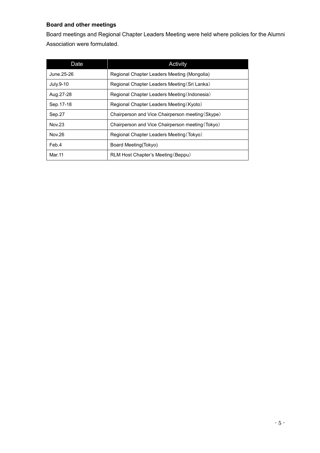### **Board and other meetings**

Board meetings and Regional Chapter Leaders Meeting were held where policies for the Alumni Association were formulated.

| Date          | Activity                                         |
|---------------|--------------------------------------------------|
| June.25-26    | Regional Chapter Leaders Meeting (Mongolia)      |
| July.9-10     | Regional Chapter Leaders Meeting (Sri Lanka)     |
| Aug. 27-28    | Regional Chapter Leaders Meeting (Indonesia)     |
| Sep. 17-18    | Regional Chapter Leaders Meeting (Kyoto)         |
| Sep.27        | Chairperson and Vice Chairperson meeting (Skype) |
| <b>Nov.23</b> | Chairperson and Vice Chairperson meeting (Tokyo) |
| Nov.26        | Regional Chapter Leaders Meeting (Tokyo)         |
| Feb.4         | Board Meeting(Tokyo)                             |
| Mar. 11       | RLM Host Chapter's Meeting (Beppu)               |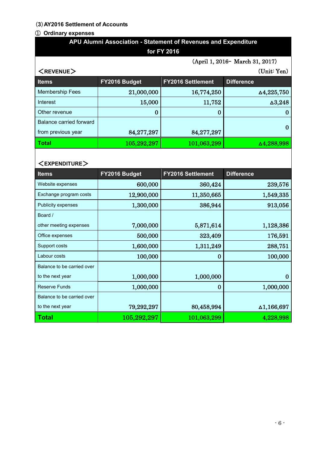#### (**3**)**AY2016 Settlement of Accounts**

#### ① **Ordinary expenses**

Balance to be carried over

| APU Alumni Association - Statement of Revenues and Expenditure |               |                          |                                 |  |  |
|----------------------------------------------------------------|---------------|--------------------------|---------------------------------|--|--|
| for FY 2016                                                    |               |                          |                                 |  |  |
|                                                                |               |                          | (April 1, 2016- March 31, 2017) |  |  |
| $<$ REVENUE $>$                                                | (Unit: Yen)   |                          |                                 |  |  |
| <b>Items</b>                                                   | FY2016 Budget | <b>FY2016 Settlement</b> | <b>Difference</b>               |  |  |
| <b>Membership Fees</b>                                         | 21,000,000    | 16,774,250               | △4,225,750                      |  |  |
| Interest                                                       | 15,000        | 11,752                   | $\Delta 3,248$                  |  |  |
| Other revenue                                                  | $\bf{0}$      | $\bf{0}$                 | $\bf{0}$                        |  |  |
| <b>Balance carried forward</b>                                 |               |                          | $\bf{0}$                        |  |  |
| from previous year                                             | 84,277,297    | 84,277,297               |                                 |  |  |
| <b>Total</b>                                                   | 105,292,297   | 101,063,299              | △4,288,998                      |  |  |
|                                                                |               |                          |                                 |  |  |
| <expenditure></expenditure>                                    |               |                          |                                 |  |  |
| <b>Items</b>                                                   | FY2016 Budget | <b>FY2016 Settlement</b> | <b>Difference</b>               |  |  |
| Website expenses                                               | 600,000       | 360,424                  | 239,576                         |  |  |
| Exchange program costs                                         | 12,900,000    | 11,350,665               | 1,549,335                       |  |  |
| Publicity expenses                                             | 1,300,000     | 386,944                  | 913,056                         |  |  |
| Board /                                                        |               |                          |                                 |  |  |
| other meeting expenses                                         | 7,000,000     | 5,871,614                | 1,128,386                       |  |  |
| Office expenses                                                | 500,000       | 323,409                  | 176,591                         |  |  |
| Support costs                                                  | 1,600,000     | 1,311,249                | 288,751                         |  |  |
| Labour costs                                                   | 100,000       | $\bf{0}$                 | 100,000                         |  |  |
| Balance to be carried over                                     |               |                          |                                 |  |  |
| to the next year                                               | 1,000,000     | 1,000,000                | $\bf{0}$                        |  |  |
| <b>Reserve Funds</b>                                           | 1,000,000     | $\bf{0}$                 | 1,000,000                       |  |  |

to the next year  $79,292,297$  80,458,994  $\Delta 1,166,697$ **Total** 105,292,297 101,063,299 4,228,998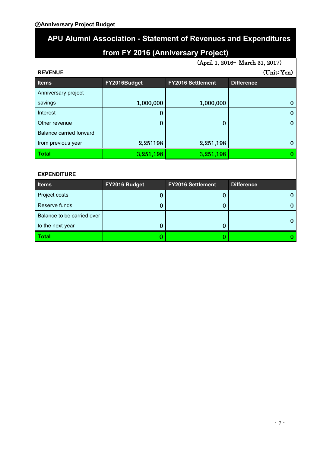### ②**Anniversary Project Budget**

# 2 **APU Alumni Association - Statement of Revenues and Expenditures**

# **from FY 2016 (Anniversary Project)**

(April 1, 2016– March 31, 2017)

| <b>REVENUE</b>          |              |                          | (Unit: Yen)       |
|-------------------------|--------------|--------------------------|-------------------|
| <b>Items</b>            | FY2016Budget | <b>FY2016 Settlement</b> | <b>Difference</b> |
| Anniversary project     |              |                          |                   |
| savings                 | 1,000,000    | 1,000,000                | 0                 |
| Interest                |              |                          | 0                 |
| Other revenue           | 0            | 0                        | 0                 |
| Balance carried forward |              |                          |                   |
| from previous year      | 2,251198     | 2,251,198                | 0                 |
| <b>Total</b>            | 3,251,198    | 3,251,198                |                   |

#### **EXPENDITURE**

| <b>Items</b>               | FY2016 Budget | <b>FY2016 Settlement</b> | <b>Difference</b> |
|----------------------------|---------------|--------------------------|-------------------|
| Project costs              |               |                          |                   |
| Reserve funds              |               |                          |                   |
| Balance to be carried over |               |                          |                   |
| to the next year           |               |                          |                   |
| <b>Total</b>               |               |                          |                   |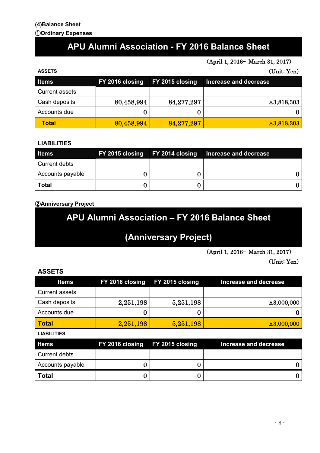#### **(4)Balance Sheet** ①**Ordinary Expenses**

# **APU Alumni Association - FY 2016 Balance Sheet**

(April 1, 2016– March 31, 2017)

| <b>ASSETS</b>         |                                 |            | (Unit: Yen)           |
|-----------------------|---------------------------------|------------|-----------------------|
| <b>Items</b>          | FY 2016 closing FY 2015 closing |            | Increase and decrease |
| <b>Current assets</b> |                                 |            |                       |
| Cash deposits         | 80,458,994                      | 84,277,297 | $\Delta 3,818,303$    |
| Accounts due          |                                 |            |                       |
| <b>Total</b>          | 80,458,994                      | 84,277,297 | $\Delta 3,818,303$    |

### **LIABILITIES**

| <b>Items</b>     |  | FY 2015 closing FY 2014 closing Increase and decrease |
|------------------|--|-------------------------------------------------------|
| Current debts    |  |                                                       |
| Accounts payable |  |                                                       |
| <b>Total</b>     |  |                                                       |

### ②**Anniversary Project**

# **APU Alumni Association – FY 2016 Balance Sheet**

# **(Anniversary Project)**

(April 1, 2016– March 31, 2017)

(Unit: Yen)

## **ASSETS**

| <b>Items</b>          | FY 2016 closing | FY 2015 closing | <b>Increase and decrease</b> |
|-----------------------|-----------------|-----------------|------------------------------|
| <b>Current assets</b> |                 |                 |                              |
| Cash deposits         | 2,251,198       | 5,251,198       | △3,000,000                   |
| Accounts due          | u               | U               |                              |
| <b>Total</b>          | 2,251,198       | 5,251,198       | $\Delta 3,000,000$           |
|                       |                 |                 |                              |
| <b>LIABILITIES</b>    |                 |                 |                              |
| <b>Items</b>          | FY 2016 closing | FY 2015 closing | <b>Increase and decrease</b> |
| <b>Current debts</b>  |                 |                 |                              |
| Accounts payable      | U               | O               |                              |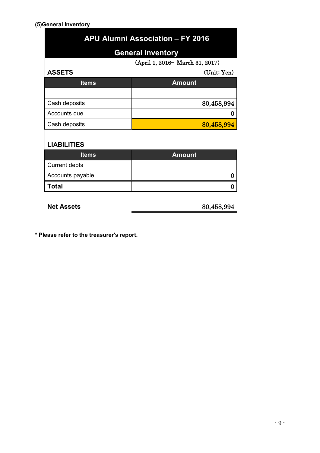#### **(5)General Inventory**

| <b>APU Alumni Association - FY 2016</b> |  |  |
|-----------------------------------------|--|--|
| <b>General Inventory</b>                |  |  |
| (April 1, 2016 – March 31, 2017)        |  |  |
| (Unit: Yen)                             |  |  |
| <b>Amount</b>                           |  |  |
|                                         |  |  |
| 80,458,994                              |  |  |
| O                                       |  |  |
| 80,458,994                              |  |  |
|                                         |  |  |
|                                         |  |  |
| <b>Amount</b>                           |  |  |
|                                         |  |  |
| 0                                       |  |  |
| O                                       |  |  |
|                                         |  |  |

**Net Assets** 80,458,994

**\* Please refer to the treasurer's report.**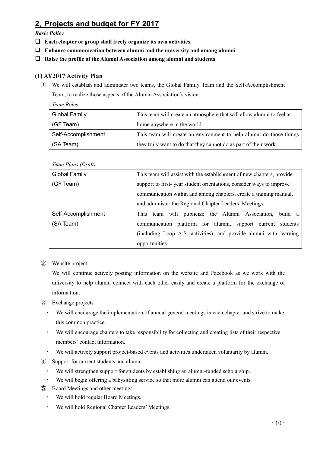# **2**.**Projects and budget for FY 2017**

*Basic Policy*

- **Each chapter or group shall freely organize its own activities.**
- **Enhance communication between alumni and the university and among alumni**
- **Raise the profile of the Alumni Association among alumni and students**

#### **(1) AY2017 Activity Plan**

① We will establish and administer two teams, the Global Family Team and the Self-Accomplishment Team, to realize those aspects of the Alumni Association's vision.

*Team Roles*

| Global Family       | This team will create an atmosphere that will allow alumni to feel at |
|---------------------|-----------------------------------------------------------------------|
| (GF Team)           | home anywhere in the world.                                           |
| Self-Accomplishment | This team will create an environment to help alumni do those things   |
| (SA Team)           | they truly want to do that they cannot do as part of their work.      |

*Team Plans (Draft)*

| Global Family       | This team will assist with the establishment of new chapters, provide |  |
|---------------------|-----------------------------------------------------------------------|--|
| (GF Team)           | support to first-year student orientations, consider ways to improve  |  |
|                     | communication within and among chapters, create a training manual,    |  |
|                     | and administer the Regional Chapter Leaders' Meetings.                |  |
| Self-Accomplishment | This team will publicize the Alumni Association,<br>build a           |  |
| (SA Team)           | communication platform for alumni, support current students           |  |
|                     | (including Loop A.S. activities), and provide alumni with learning    |  |
|                     | opportunities.                                                        |  |

② Website project

We will continue actively posting information on the website and Facebook as we work with the university to help alumni connect with each other easily and create a platform for the exchange of information.

- ③ Exchange projects
	- ・ We will encourage the implementation of annual general meetings in each chapter and strive to make this common practice.
	- ・ We will encourage chapters to take responsibility for collecting and creating lists of their respective members' contact information.
	- ・ We will actively support project-based events and activities undertaken voluntarily by alumni.
- ④ Support for current students and alumni
	- We will strengthen support for students by establishing an alumni-funded scholarship.
	- ・ We will begin offering a babysitting service so that more alumni can attend our events.
- ⑤ Board Meetings and other meetings
	- ・ We will hold regular Board Meetings.
	- ・ We will hold Regional Chapter Leaders' Meetings.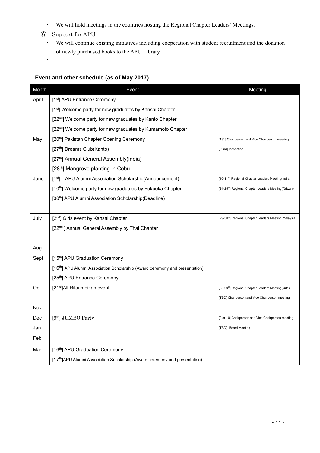- ・ We will hold meetings in the countries hosting the Regional Chapter Leaders' Meetings.
- ⑥ Support for APU

・

・ We will continue existing initiatives including cooperation with student recruitment and the donation of newly purchased books to the APU Library.

### **Event and other schedule (as of May 2017)**

| Month | Event                                                                                    | Meeting                                                           |
|-------|------------------------------------------------------------------------------------------|-------------------------------------------------------------------|
| April | [1 <sup>st</sup> ] APU Entrance Ceremony                                                 |                                                                   |
|       | [1 <sup>st</sup> ] Welcome party for new graduates by Kansai Chapter                     |                                                                   |
|       | [22 <sup>nd</sup> ] Welcome party for new graduates by Kanto Chapter                     |                                                                   |
|       | [22 <sup>nd</sup> ] Welcome party for new graduates by Kumamoto Chapter                  |                                                                   |
| May   | [20 <sup>th</sup> ] Pakistan Chapter Opening Ceremony                                    | [13rd] Chairperson and Vice Chairperson meeting                   |
|       | [27 <sup>th</sup> ] Dreams Club(Kanto)                                                   | [22nd] Inspection                                                 |
|       | [27th] Annual General Assembly(India)                                                    |                                                                   |
|       | [28 <sup>th</sup> ] Mangrove planting in Cebu                                            |                                                                   |
| June  | [1 <sup>st</sup> ] APU Alumni Association Scholarship(Announcement)                      | [10-11 <sup>th</sup> ] Regional Chapter Leaders Meeting(India)    |
|       | [10 <sup>th</sup> ] Welcome party for new graduates by Fukuoka Chapter                   | [24-25 <sup>th</sup> ] Regional Chapter Leaders Meeting(Taiwan)   |
|       | [30th] APU Alumni Association Scholarship(Deadline)                                      |                                                                   |
|       |                                                                                          |                                                                   |
| July  | [2 <sup>nd</sup> ] Girls event by Kansai Chapter                                         | [29-30 <sup>th</sup> ] Regional Chapter Leaders Meeting(Malaysia) |
|       | [22 <sup>nd</sup> ] Annual General Assembly by Thai Chapter                              |                                                                   |
|       |                                                                                          |                                                                   |
| Aug   |                                                                                          |                                                                   |
| Sept  | [15 <sup>th</sup> ] APU Graduation Ceremony                                              |                                                                   |
|       | [16 <sup>th</sup> ] APU Alumni Association Scholarship (Award ceremony and presentation) |                                                                   |
|       | [25 <sup>th</sup> ] APU Entrance Ceremony                                                |                                                                   |
| Oct   | [21 <sup>st</sup> ]All Ritsumeikan event                                                 | [28-29 <sup>th</sup> ] Regional Chapter Leaders Meeting(Oita)     |
|       |                                                                                          | [TBD] Chairperson and Vice Chairperson meeting                    |
| Nov   |                                                                                          |                                                                   |
| Dec   | [9 <sup>th</sup> ] JUMBO Party                                                           | [9 or 10] Chairperson and Vice Chairperson meeting                |
| Jan   |                                                                                          | [TBD] Board Meeting                                               |
| Feb   |                                                                                          |                                                                   |
| Mar   | [16 <sup>th</sup> ] APU Graduation Ceremony                                              |                                                                   |
|       | [17 <sup>th</sup> ]APU Alumni Association Scholarship (Award ceremony and presentation)  |                                                                   |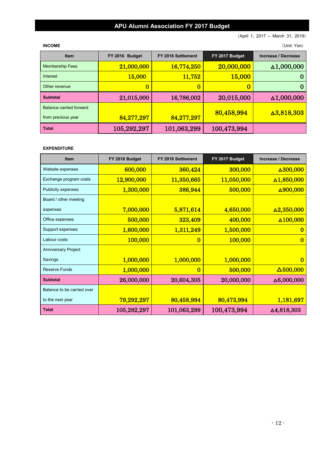# **APU Alumni Association FY 2017 Budget**

(April 1, 2017 – March 31, 2019)

**INCOME** (Unit: Yen)

| <b>Item</b>                                   | FY 2016 Budget | FY 2016 Settlement | FY 2017 Budget | Increase / Decrease |
|-----------------------------------------------|----------------|--------------------|----------------|---------------------|
| <b>Membership Fees</b>                        | 21,000,000     | 16,774,250         | 20,000,000     | $\Delta$ 1,000,000  |
| Interest                                      | <b>15,000</b>  | 11,752             | 15,000         |                     |
| Other revenue                                 | 0              | 0                  | t.             | O                   |
| <b>Subtotal</b>                               | 21,015,000     | 16,786,002         | 20,015,000     | $\Delta 1,000,000$  |
| Balance carried forward<br>from previous year | 84,277,297     | 84,277,297         | 80,458,994     | $\Delta 3,818,303$  |
| <b>Total</b>                                  | 105,292,297    | 101,063,299        | 100,473,994    |                     |

#### **EXPENDITURE**

| <b>Item</b>                | FY 2016 Budget | FY 2016 Settlement | FY 2017 Budget | <b>Increase / Decrease</b> |
|----------------------------|----------------|--------------------|----------------|----------------------------|
| Website expenses           | 600,000        | 360,424            | 300,000        | $\Delta 300,000$           |
| Exchange program costs     | 12,900,000     | 11,350,665         | 11,050,000     | $\Delta$ 1,850,000         |
| <b>Publicity expenses</b>  | 1,300,000      | 386,944            | 500,000        | $\Delta 900,000$           |
| Board / other meeting      |                |                    |                |                            |
| expenses                   | 7,000,000      | 5,871,614          | 4,650,000      | $\Delta 2,350,000$         |
| Office expenses            | 500,000        | 323,409            | 400,000        | $\Delta 100,000$           |
| Support expenses           | 1,600,000      | 1,311,249          | 1,500,000      | 0                          |
| Labour costs               | 100,000        | $\bf{0}$           | 100,000        | $\overline{0}$             |
| <b>Anniversary Project</b> |                |                    |                |                            |
| Savings                    | 1,000,000      | 1,000,000          | 1,000,000      | 0                          |
| <b>Reserve Funds</b>       | 1,000,000      | $\bf{0}$           | 500,000        | $\Delta$ 500,000           |
| <b>Subtotal</b>            | 26,000,000     | 20,604,305         | 20,000,000     | $\Delta 6,000,000$         |
| Balance to be carried over |                |                    |                |                            |
| to the next year           | 79,292,297     | 80,458,994         | 80,473,994     | 1,181,697                  |
| <b>Total</b>               | 105,292,297    | 101,063,299        | 100,473,994    | △4,818,303                 |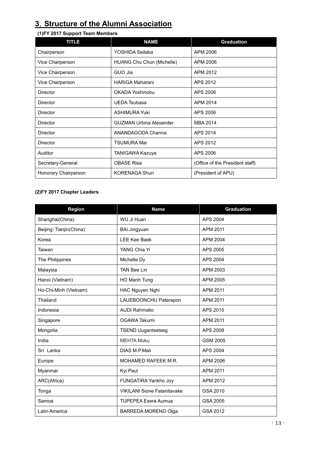# **3**.**Structure of the Alumni Association**

### **(1)FY 2017 Support Team Members**

| <b>TITLE</b>         | <b>Graduation</b><br><b>NAME</b>      |                                 |
|----------------------|---------------------------------------|---------------------------------|
| Chairperson          | APM 2006<br>YOSHIDA Seitaka           |                                 |
| Vice Chairperson     | HUANG Chu Chun (Michelle)<br>APM 2006 |                                 |
| Vice Chairperson     | GUO Jia                               | APM 2012                        |
| Vice Chairperson     | <b>HARIGA Maharani</b>                | APS 2012                        |
| Director             | OKADA Yoshinobu                       | APS 2006                        |
| Director             | <b>UEDA Tsubasa</b>                   | APM 2014                        |
| Director             | <b>ASHIMURA Yuki</b>                  | APS 2006                        |
| Director             | <b>GUZMAN Urbina Alexander</b>        | MBA 2014                        |
| Director             | ANANDAGODA Channa                     | APS 2014                        |
| Director             | <b>TSUMURA Mai</b>                    | APS 2012                        |
| Auditor              | TANIGAWA Kazuya                       | APS 2006                        |
| Secretary-General    | <b>OBASE Risa</b>                     | (Office of the President staff) |
| Honorary Chairperson | <b>KORENAGA Shun</b>                  | (President of APU)              |

#### **(2)FY 2017 Chapter Leaders**

| Region                    | <b>Name</b>                        | <b>Graduation</b> |
|---------------------------|------------------------------------|-------------------|
| Shanghai(China)           | WU Ji Huan                         | APS 2004          |
| Beijing · Tianjin (China) | <b>BAI Jingyuan</b>                | APM 2011          |
| Korea                     | <b>LEE Kee Baek</b>                | APM 2004          |
| Taiwan                    | YANG Chia Yi                       | APS 2005          |
| The Philippines           | Michelle Dy                        | APS 2004          |
| Malaysia                  | <b>TAN Bee Lin</b>                 | APM 2003          |
| Hanoi (Vietnam)           | HO Manh Tung                       | APM 2005          |
| Ho-Chi-Minh (Vietnam)     | HAC Nguyen Nghi                    | APM 2011          |
| Thailand                  | LAUEBOONCHU Patarapon              | APM 2011          |
| Indonesia                 | <b>AUDI Rahmatio</b>               | APS 2015          |
| Singapore                 | OGAWA Takumi                       | APM 2011          |
| Mongolia                  | <b>TSEND Uugantsetseg</b>          | APS 2008          |
| India                     | <b>MEHTA Muku</b>                  | <b>GSM 2005</b>   |
| Sri Lanka                 | DIAS M.P.Mali                      | APS 2004          |
| Europe                    | MOHAMED RAFEEK M.R.                | APM 2006          |
| Myanmar                   | Kyi Paul                           | APM 2011          |
| ARC(Africa)               | FUNGATIRA Yankho Joy               | APM 2012          |
| Tonga                     | <b>VIKILANI Sione Fatanitavake</b> | GSA 2010          |
| Samoa                     | <b>TUPEPEA Esera Aumua</b>         | GSA 2005          |
| Latin America             | <b>BARREDA MORENO Olga</b>         | GSA 2012          |